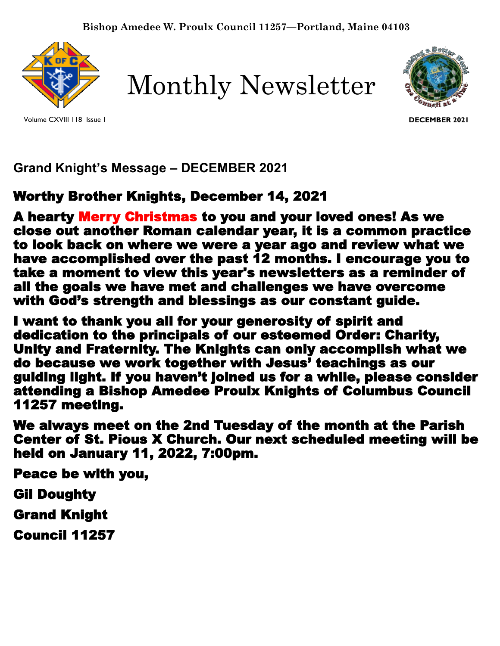

Volume CXVIII 118 Issue 1

Monthly Newsletter



**DECEMBER 2021**

# **Grand Knight's Message – DECEMBER 2021**

# Worthy Brother Knights, December 14, 2021

A hearty Merry Christmas to you and your loved ones! As we close out another Roman calendar year, it is a common practice to look back on where we were a year ago and review what we have accomplished over the past 12 months. I encourage you to take a moment to view this year's newsletters as a reminder of all the goals we have met and challenges we have overcome with God's strength and blessings as our constant guide.

I want to thank you all for your generosity of spirit and dedication to the principals of our esteemed Order: Charity, Unity and Fraternity. The Knights can only accomplish what we do because we work together with Jesus' teachings as our guiding light. If you haven't joined us for a while, please consider attending a Bishop Amedee Proulx Knights of Columbus Council 11257 meeting.

We always meet on the 2nd Tuesday of the month at the Parish Center of St. Pious X Church. Our next scheduled meeting will be held on January 11, 2022, 7:00pm.

Peace be with you,

Gil Doughty

Grand Knight

Council 11257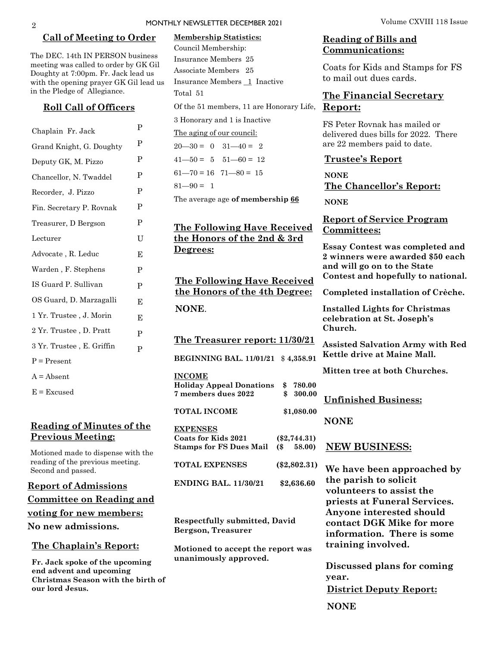#### **Call of Meeting to Order**

The DEC. 14th IN PERSON business meeting was called to order by GK Gil Doughty at 7:00pm. Fr. Jack lead us with the opening prayer GK Gil lead us in the Pledge of Allegiance.

#### **Roll Call of Officers**

| Chaplain Fr. Jack         | P |
|---------------------------|---|
| Grand Knight, G. Doughty  | P |
| Deputy GK, M. Pizzo       | P |
| Chancellor, N. Twaddel    | P |
| Recorder, J. Pizzo        | P |
| Fin. Secretary P. Rovnak  | P |
| Treasurer, D Bergson      | P |
| Lecturer                  | U |
| Advocate, R. Leduc        | E |
| Warden, F. Stephens       | P |
| IS Guard P. Sullivan      | P |
| OS Guard, D. Marzagalli   | E |
| 1 Yr. Trustee , J. Morin  | E |
| 2 Yr. Trustee, D. Pratt   | P |
| 3 Yr. Trustee, E. Griffin | P |
| $P = Present$             |   |
| $A = Absent$              |   |
|                           |   |

 $E = Excused$ 

#### **Reading of Minutes of the Previous Meeting:**

Motioned made to dispense with the reading of the previous meeting. Second and passed.

**Report of Admissions Committee on Reading and voting for new members: No new admissions.** 

#### **The Chaplain's Report:**

**Fr. Jack spoke of the upcoming end advent and upcoming Christmas Season with the birth of our lord Jesus.** 

## Of the 51 members, 11 are Honorary Life, Report: **Membership Statistics:**  Council Membership: Insurance Members 25 Associate Members 25 Insurance Members 1 Inactive Total 51

3 Honorary and 1 is Inactive

The aging of our council:

 $20 - 30 = 0$   $31 - 40 = 2$  $41 - 50 = 5$   $51 - 60 = 12$  $61 - 70 = 16$   $71 - 80 = 15$ 

 $81 - 90 = 1$ 

The average age **of membership 66**

### **The Following Have Received the Honors of the 2nd & 3rd Degrees:**

**The Following Have Received the Honors of the 4th Degree: NONE**.

**The Treasurer report: 11/30/21**

**BEGINNING BAL. 11/01/21** \$ **4,358.91**

**INCOME**

**Holiday Appeal Donations \$ 780.00 7 members dues 2022 \$ 300.00**

**TOTAL INCOME \$1,080.00 EXPENSES Coats for Kids 2021 (\$2,744.31)**

| Stamps for FS Dues Mail (\$ | 58.00)         |
|-----------------------------|----------------|
| TOTAL EXPENSES              | $(\$2,802.31)$ |
| <b>ENDING BAL. 11/30/21</b> | \$2,636.60     |

**Respectfully submitted, David Bergson, Treasurer**

**Motioned to accept the report was unanimously approved.**

#### MONTHLY NEWSLETTER DECEMBER 2021 Volume CXVIII 118 Issue

#### **Reading of Bills and Communications:**

Coats for Kids and Stamps for FS to mail out dues cards.

# **The Financial Secretary**

FS Peter Rovnak has mailed or delivered dues bills for 2022. There are 22 members paid to date.

#### **Trustee's Report**

**NONE The Chancellor's Report:** 

**NONE**

#### **Report of Service Program Committees:**

**Essay Contest was completed and 2 winners were awarded \$50 each and will go on to the State Contest and hopefully to national.**

**Completed installation of Crèche.**

**Installed Lights for Christmas celebration at St. Joseph's Church.**

**Assisted Salvation Army with Red Kettle drive at Maine Mall.**

**Mitten tree at both Churches.** 

**Unfinished Business:** 

**NONE**

#### **NEW BUSINESS:**

**We have been approached by the parish to solicit volunteers to assist the priests at Funeral Services. Anyone interested should contact DGK Mike for more information. There is some training involved.** 

**Discussed plans for coming year.** 

**District Deputy Report:**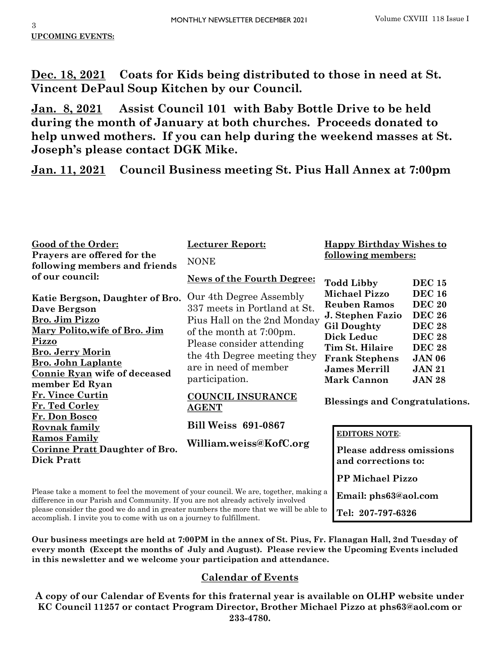**Dec. 18, 2021 Coats for Kids being distributed to those in need at St. Vincent DePaul Soup Kitchen by our Council.**

**Jan. 8, 2021 Assist Council 101 with Baby Bottle Drive to be held during the month of January at both churches. Proceeds donated to help unwed mothers. If you can help during the weekend masses at St. Joseph's please contact DGK Mike.**

**Jan. 11, 2021 Council Business meeting St. Pius Hall Annex at 7:00pm**

| <b>Good of the Order:</b><br>Prayers are offered for the<br>following members and friends                                                                                                                                           | <b>Lecturer Report:</b><br><b>NONE</b>                                                                                                                                                                                   | <b>Happy Birthday Wishes to</b><br>following members:                                                                                                                                                                                                                                                                                                         |  |
|-------------------------------------------------------------------------------------------------------------------------------------------------------------------------------------------------------------------------------------|--------------------------------------------------------------------------------------------------------------------------------------------------------------------------------------------------------------------------|---------------------------------------------------------------------------------------------------------------------------------------------------------------------------------------------------------------------------------------------------------------------------------------------------------------------------------------------------------------|--|
| of our council:                                                                                                                                                                                                                     | <b>News of the Fourth Degree:</b>                                                                                                                                                                                        | <b>Todd Libby</b><br><b>DEC 15</b>                                                                                                                                                                                                                                                                                                                            |  |
| Katie Bergson, Daughter of Bro.<br>Dave Bergson<br>Bro. Jim Pizzo<br>Mary Polito, wife of Bro. Jim<br><b>Pizzo</b><br><b>Bro. Jerry Morin</b><br><b>Bro. John Laplante</b><br><b>Connie Ryan wife of deceased</b><br>member Ed Ryan | Our 4th Degree Assembly<br>337 meets in Portland at St.<br>Pius Hall on the 2nd Monday<br>of the month at 7:00pm.<br>Please consider attending<br>the 4th Degree meeting they<br>are in need of member<br>participation. | <b>Michael Pizzo</b><br><b>DEC 16</b><br><b>DEC 20</b><br><b>Reuben Ramos</b><br><b>DEC 26</b><br>J. Stephen Fazio<br><b>Gil Doughty</b><br><b>DEC 28</b><br><b>Dick Leduc</b><br><b>DEC 28</b><br>Tim St. Hilaire<br><b>DEC 28</b><br><b>JAN 06</b><br><b>Frank Stephens</b><br><b>James Merrill</b><br><b>JAN 21</b><br><b>Mark Cannon</b><br><b>JAN 28</b> |  |
| Fr. Vince Curtin<br>Fr. Ted Corley                                                                                                                                                                                                  | <b>COUNCIL INSURANCE</b><br><b>AGENT</b>                                                                                                                                                                                 | <b>Blessings and Congratulations.</b>                                                                                                                                                                                                                                                                                                                         |  |
| Fr. Don Bosco<br><u>Rovnak family</u>                                                                                                                                                                                               | <b>Bill Weiss 691-0867</b>                                                                                                                                                                                               | <b>EDITORS NOTE:</b>                                                                                                                                                                                                                                                                                                                                          |  |
| <b>Ramos Family</b><br><b>Corinne Pratt Daughter of Bro.</b><br><b>Dick Pratt</b>                                                                                                                                                   | William.weiss@KofC.org<br><b>Please address omissions</b><br>and corrections to:                                                                                                                                         |                                                                                                                                                                                                                                                                                                                                                               |  |
|                                                                                                                                                                                                                                     |                                                                                                                                                                                                                          | <b>PP Michael Pizzo</b>                                                                                                                                                                                                                                                                                                                                       |  |
| Please take a moment to feel the movement of your council. We are, together, making a<br>difference in our Parish and Community If you are not already actively involved                                                            |                                                                                                                                                                                                                          | Email: phs63@aol.com                                                                                                                                                                                                                                                                                                                                          |  |

**Tel: 207-797-6326**

difference in our Parish and Community. If you are not already actively involved please consider the good we do and in greater numbers the more that we will be able to accomplish. I invite you to come with us on a journey to fulfillment.

**Our business meetings are held at 7:00PM in the annex of St. Pius, Fr. Flanagan Hall, 2nd Tuesday of every month (Except the months of July and August). Please review the Upcoming Events included in this newsletter and we welcome your participation and attendance.** 

## **Calendar of Events**

**A copy of our Calendar of Events for this fraternal year is available on OLHP website under KC Council 11257 or contact Program Director, Brother Michael Pizzo at phs63@aol.com or 233-4780.**